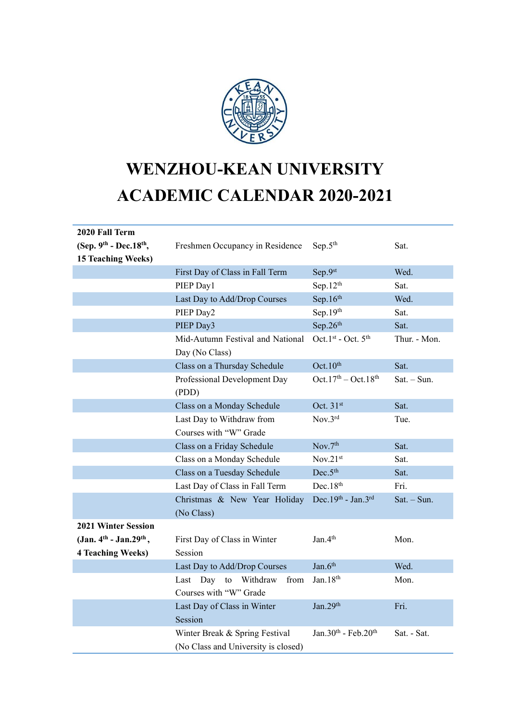

## **WENZHOU-KEAN UNIVERSITY ACADEMIC CALENDAR 2020-2021**

| 2020 Fall Term             |                                       |                                             |               |
|----------------------------|---------------------------------------|---------------------------------------------|---------------|
| (Sep. 9th - Dec. 18th,     | Freshmen Occupancy in Residence       | Sep.5 <sup>th</sup>                         | Sat.          |
| <b>15 Teaching Weeks)</b>  |                                       |                                             |               |
|                            | First Day of Class in Fall Term       | Sep.9st                                     | Wed.          |
|                            | PIEP Day1                             | Sep.12 <sup>th</sup>                        | Sat.          |
|                            | Last Day to Add/Drop Courses          | Sep.16th                                    | Wed.          |
|                            | PIEP Day2                             | Sep. $19th$                                 | Sat.          |
|                            | PIEP Day3                             | Sep.26th                                    | Sat.          |
|                            | Mid-Autumn Festival and National      | Oct.1st - Oct. 5 <sup>th</sup>              | Thur. - Mon.  |
|                            | Day (No Class)                        |                                             |               |
|                            | Class on a Thursday Schedule          | Oct.10 <sup>th</sup>                        | Sat.          |
|                            | Professional Development Day<br>(PDD) | Oct.17 <sup>th</sup> – Oct.18 <sup>th</sup> | $Sat. - Sun.$ |
|                            | Class on a Monday Schedule            | Oct. 31st                                   | Sat.          |
|                            | Last Day to Withdraw from             | Nov.3rd                                     | Tue.          |
|                            | Courses with "W" Grade                |                                             |               |
|                            | Class on a Friday Schedule            | Nov.7th                                     | Sat.          |
|                            | Class on a Monday Schedule            | Nov.21 <sup>st</sup>                        | Sat.          |
|                            | Class on a Tuesday Schedule           | Dec.5 <sup>th</sup>                         | Sat.          |
|                            | Last Day of Class in Fall Term        | Dec.18 <sup>th</sup>                        | Fri.          |
|                            | Christmas & New Year Holiday          | Dec.19th - Jan.3rd                          | $Sat. - Sun.$ |
|                            | (No Class)                            |                                             |               |
| <b>2021 Winter Session</b> |                                       |                                             |               |
| (Jan. 4th - Jan. 29th,     | First Day of Class in Winter          | Jan 4 <sup>th</sup>                         | Mon.          |
| <b>4 Teaching Weeks)</b>   | Session                               |                                             |               |
|                            | Last Day to Add/Drop Courses          | Jan.6th                                     | Wed.          |
|                            | Day to Withdraw<br>Last<br>from       | Jan.18 <sup>th</sup>                        | Mon.          |
|                            | Courses with "W" Grade                |                                             |               |
|                            | Last Day of Class in Winter           | Jan.29th                                    | Fri.          |
|                            | Session                               |                                             |               |
|                            | Winter Break & Spring Festival        | Jan.30th - Feb.20th                         | Sat. - Sat.   |
|                            | (No Class and University is closed)   |                                             |               |